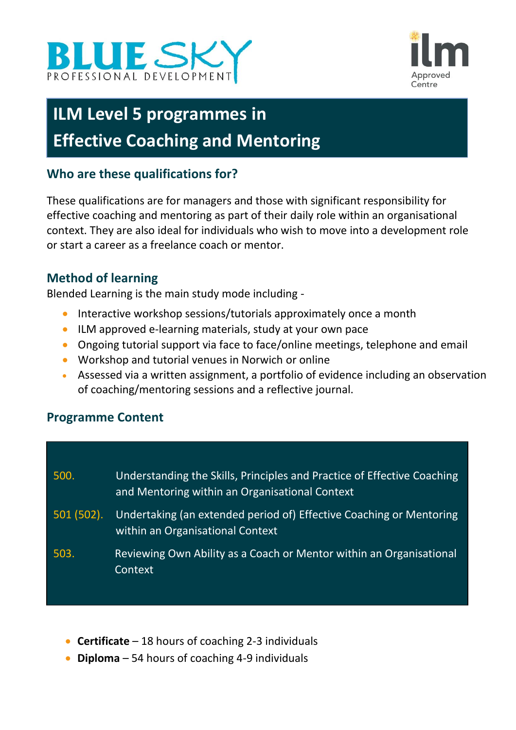



# **ILM Level 5 programmes in Effective Coaching and Mentoring**

## **Who are these qualifications for?**

These qualifications are for managers and those with significant responsibility for effective coaching and mentoring as part of their daily role within an organisational context. They are also ideal for individuals who wish to move into a development role or start a career as a freelance coach or mentor.

### **Method of learning**

Blended Learning is the main study mode including -

- Interactive workshop sessions/tutorials approximately once a month
- ILM approved e-learning materials, study at your own pace
- Ongoing tutorial support via face to face/online meetings, telephone and email
- Workshop and tutorial venues in Norwich or online
- Assessed via a written assignment, a portfolio of evidence including an observation of coaching/mentoring sessions and a reflective journal.

#### **Programme Content**

| 500.         | Understanding the Skills, Principles and Practice of Effective Coaching<br>and Mentoring within an Organisational Context |
|--------------|---------------------------------------------------------------------------------------------------------------------------|
| $501(502)$ . | Undertaking (an extended period of) Effective Coaching or Mentoring<br>within an Organisational Context                   |
| 503.         | Reviewing Own Ability as a Coach or Mentor within an Organisational<br>Context                                            |

- **Certificate** 18 hours of coaching 2-3 individuals
- **Diploma** 54 hours of coaching 4-9 individuals